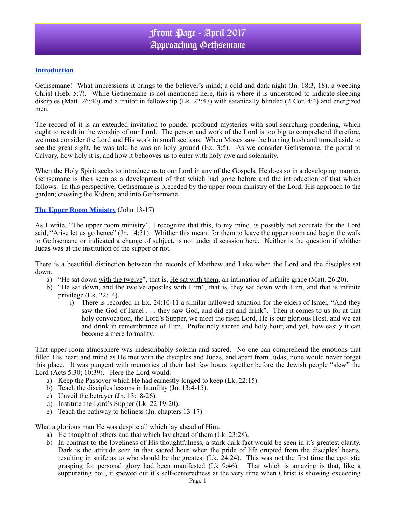### **Introduction**

Gethsemane! What impressions it brings to the believer's mind; a cold and dark night (Jn. 18:3, 18), a weeping Christ (Heb. 5:7). While Gethsemane is not mentioned here, this is where it is understood to indicate sleeping disciples (Matt. 26:40) and a traitor in fellowship (Lk. 22:47) with satanically blinded (2 Cor. 4:4) and energized men.

The record of it is an extended invitation to ponder profound mysteries with soul-searching pondering, which ought to result in the worship of our Lord. The person and work of the Lord is too big to comprehend therefore, we must consider the Lord and His work in small sections. When Moses saw the burning bush and turned aside to see the great sight, he was told he was on holy ground (Ex. 3:5). As we consider Gethsemane, the portal to Calvary, how holy it is, and how it behooves us to enter with holy awe and solemnity.

When the Holy Spirit seeks to introduce us to our Lord in any of the Gospels, He does so in a developing manner. Gethsemane is then seen as a development of that which had gone before and the introduction of that which follows. In this perspective, Gethsemane is preceded by the upper room ministry of the Lord; His approach to the garden; crossing the Kidron; and into Gethsemane.

#### **The Upper Room Ministry** (John 13-17)

As I write, "The upper room ministry", I recognize that this, to my mind, is possibly not accurate for the Lord said, "Arise let us go hence" (Jn. 14:31). Whither this meant for them to leave the upper room and begin the walk to Gethsemane or indicated a change of subject, is not under discussion here. Neither is the question if whither Judas was at the institution of the supper or not.

There is a beautiful distinction between the records of Matthew and Luke when the Lord and the disciples sat down.

- a) "He sat down with the twelve", that is, He sat with them, an intimation of infinite grace (Matt. 26:20).
- b) "He sat down, and the twelve apostles with Him", that is, they sat down with Him, and that is infinite privilege (Lk. 22:14).
	- i) There is recorded in Ex. 24:10-11 a similar hallowed situation for the elders of Israel, "And they saw the God of Israel . . . they saw God, and did eat and drink". Then it comes to us for at that holy convocation, the Lord's Supper, we meet the risen Lord, He is our glorious Host, and we eat and drink in remembrance of Him. Profoundly sacred and holy hour, and yet, how easily it can become a mere formality.

That upper room atmosphere was indescribably solemn and sacred. No one can comprehend the emotions that filled His heart and mind as He met with the disciples and Judas, and apart from Judas, none would never forget this place. It was pungent with memories of their last few hours together before the Jewish people "slew" the Lord (Acts 5:30; 10:39). Here the Lord would:

- a) Keep the Passover which He had earnestly longed to keep (Lk. 22:15).
- b) Teach the disciples lessons in humility (Jn. 13:4-15).
- c) Unveil the betrayer (Jn. 13:18-26).
- d) Institute the Lord's Supper (Lk. 22:19-20).
- e) Teach the pathway to holiness (Jn. chapters 13-17)

What a glorious man He was despite all which lay ahead of Him.

- a) He thought of others and that which lay ahead of them (Lk. 23:28).
- b) In contrast to the loveliness of His thoughtfulness, a stark dark fact would be seen in it's greatest clarity. Dark is the attitude seen in that sacred hour when the pride of life erupted from the disciples' hearts, resulting in strife as to who should be the greatest  $(Lk. 24:24)$ . This was not the first time the egotistic grasping for personal glory had been manifested (Lk 9:46). That which is amazing is that, like a suppurating boil, it spewed out it's self-centeredness at the very time when Christ is showing exceeding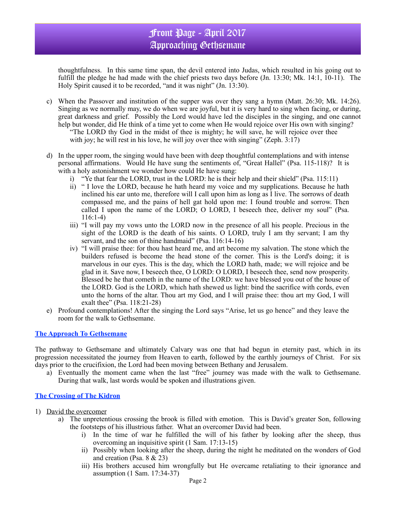## Front Page - April 2017 Approaching Gethsemane

thoughtfulness. In this same time span, the devil entered into Judas, which resulted in his going out to fulfill the pledge he had made with the chief priests two days before (Jn. 13:30; Mk. 14:1, 10-11). The Holy Spirit caused it to be recorded, "and it was night" (Jn. 13:30).

- c) When the Passover and institution of the supper was over they sang a hymn (Matt. 26:30; Mk. 14:26). Singing as we normally may, we do when we are joyful, but it is very hard to sing when facing, or during, great darkness and grief. Possibly the Lord would have led the disciples in the singing, and one cannot help but wonder, did He think of a time yet to come when He would rejoice over His own with singing? "The LORD thy God in the midst of thee is mighty; he will save, he will rejoice over thee with joy; he will rest in his love, he will joy over thee with singing" (Zeph. 3:17)
- d) In the upper room, the singing would have been with deep thoughtful contemplations and with intense personal affirmations. Would He have sung the sentiments of, "Great Hallel" (Psa. 115-118)? It is with a holy astonishment we wonder how could He have sung:
	- i) "Ye that fear the LORD, trust in the LORD: he is their help and their shield" (Psa. 115:11)
	- ii) " I love the LORD, because he hath heard my voice and my supplications. Because he hath inclined his ear unto me, therefore will I call upon him as long as I live. The sorrows of death compassed me, and the pains of hell gat hold upon me: I found trouble and sorrow. Then called I upon the name of the LORD; O LORD, I beseech thee, deliver my soul" (Psa. 116:1-4)
	- iii) "I will pay my vows unto the LORD now in the presence of all his people. Precious in the sight of the LORD is the death of his saints. O LORD, truly I am thy servant; I am thy servant, and the son of thine handmaid" (Psa. 116:14-16)
	- iv) "I will praise thee: for thou hast heard me, and art become my salvation. The stone which the builders refused is become the head stone of the corner. This is the Lord's doing; it is marvelous in our eyes. This is the day, which the LORD hath, made; we will rejoice and be glad in it. Save now, I beseech thee, O LORD: O LORD, I beseech thee, send now prosperity. Blessed be he that cometh in the name of the LORD: we have blessed you out of the house of the LORD. God is the LORD, which hath shewed us light: bind the sacrifice with cords, even unto the horns of the altar. Thou art my God, and I will praise thee: thou art my God, I will exalt thee" (Psa. 118:21-28)
- e) Profound contemplations! After the singing the Lord says "Arise, let us go hence" and they leave the room for the walk to Gethsemane.

#### **The Approach To Gethsemane**

The pathway to Gethsemane and ultimately Calvary was one that had begun in eternity past, which in its progression necessitated the journey from Heaven to earth, followed by the earthly journeys of Christ. For six days prior to the crucifixion, the Lord had been moving between Bethany and Jerusalem.

a) Eventually the moment came when the last "free" journey was made with the walk to Gethsemane. During that walk, last words would be spoken and illustrations given.

#### **The Crossing of The Kidron**

- 1) David the overcomer
	- a) The unpretentious crossing the brook is filled with emotion. This is David's greater Son, following the footsteps of his illustrious father. What an overcomer David had been.
		- i) In the time of war he fulfilled the will of his father by looking after the sheep, thus overcoming an inquisitive spirit (1 Sam. 17:13-15)
		- ii) Possibly when looking after the sheep, during the night he meditated on the wonders of God and creation (Psa. 8 & 23)
		- iii) His brothers accused him wrongfully but He overcame retaliating to their ignorance and assumption (1 Sam. 17:34-37)